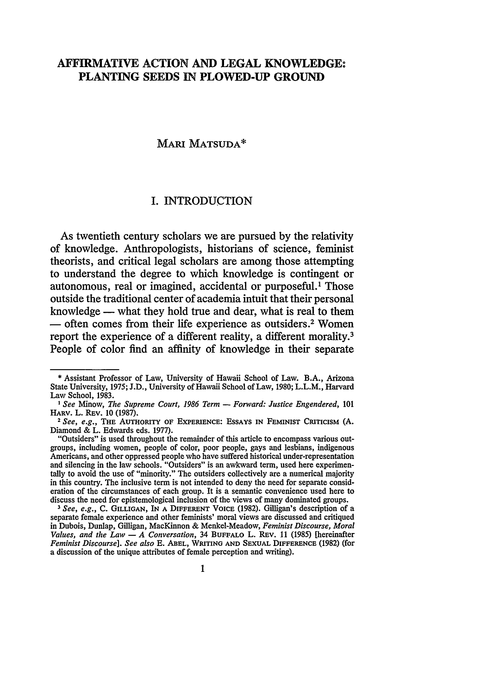# AFFIRMATIVE ACTION AND LEGAL KNOWLEDGE: PLANTING SEEDS IN PLOWED-UP GROUND

### MARl MATSUDA\*

#### 1. INTRODUCTION

As twentieth century scholars we are pursued by the relativity of knowledge. Anthropologists, historians of science, feminist theorists, and critical legal scholars are among those attempting to understand the degree to which knowledge is contingent or autonomous, real or imagined, accidental or purposeful.1 Those outside the traditional center of academia intuit that their personal knowledge — what they hold true and dear, what is real to them - often comes from their life experience as outsiders.<sup>2</sup> Women report the experience of a different reality, a different morality.3 People of color find an affinity of knowledge in their separate

<sup>\*</sup> Assistant Professor of Law, University of Hawaii School of Law. B.A., Arizona State University, 1975; J.D., University of Hawaii School of Law, 1980; L.L.M., Harvard Law School, 1983.

<sup>I</sup>*See* Minow, *The Supreme Court,* 1986 *Term* - *Forward: Justice Engendered,* 101 HARV. L. REv. 10 (1987).

<sup>2</sup>*See, e.g.,* THE AUTHORITY OF EXPERIENCE: EsSAYS IN FEMINIST CRITICISM (A. Diamond & L. Edwards eds. 1977).

<sup>&</sup>quot;Outsiders" is used throughout the remainder of this article to encompass various outgroups, including women, people of color, poor people, gays and lesbians, indigenous Americans, and other oppressed people who have suffered historical under-representation and silencing in the law schools. "Outsiders" is an awkward term, used here experimentally to avoid the use of "minority." The outsiders collectively are a numerical majority in this country. The inclusive term is not intended to deny the need for separate consideration of the circumstances of each group. It is a semantic convenience used here to discuss the need for epistemological inclusion of the views of many dominated groups.

<sup>3</sup>*See, e.g.,* C. GILLIGAN, IN A DIFFERENT VOICE (1982). Gilligan's description of a separate female experience and other feminists' moral views are discussed and critiqued in Dubois, Dunlap, Gilligan, MacKinnon & Menkel-Meadow, *Feminist Discourse, Moral Values, and the Law* - *A Conversation,* 34 BUFFALO L. REv. 11 (1985) [hereinafter *Feminist Discourse}. See also* E. ABEL, WRITING AND SEXUAL DIFFERENCE (1982) (for a discussion of the unique attributes of female perception and writing).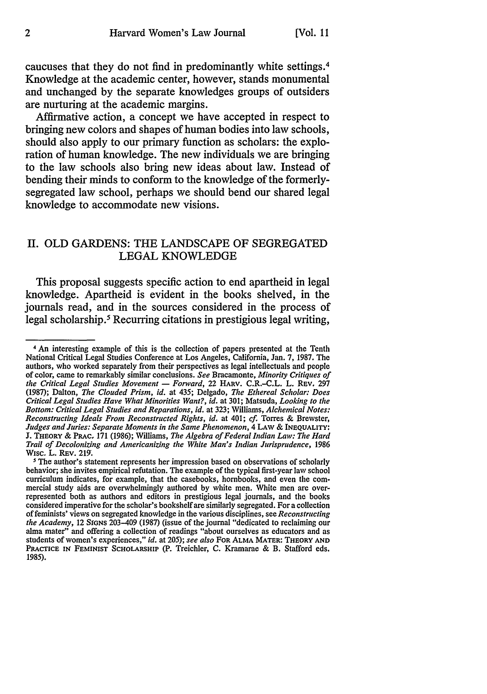caucuses that they do not find in predominantly white settings.4 Knowledge at the academic center, however, stands monumental and unchanged by the separate knowledges groups of outsiders are nurturing at the academic margins.

Affirmative action, a concept we have accepted in respect to bringing new colors and shapes of human bodies into law schools, should also apply to our primary function as scholars: the exploration of human knowledge. The new individuals we are bringing to the law schools also bring new ideas about law. Instead of bending their minds to conform to the knowledge of the formerlysegregated law school, perhaps we should bend our shared legal knowledge to accommodate new visions.

# **II.** OLD GARDENS: THE LANDSCAPE OF SEGREGATED LEGAL KNOWLEDGE

This proposal suggests specific action to end apartheid in legal knowledge. Apartheid is evident in the books shelved, in the journals read, and in the sources considered in the process of legal scholarship.<sup>5</sup> Recurring citations in prestigious legal writing,

<sup>4</sup> An interesting example of this is the collection of papers presented at the Tenth National Critical Legal Studies Conference at Los Angeles, California, Jan. 7, 1987. The authors, who worked separately from their perspectives as legal intellectuals and people of color, came to remarkably similar conclusions. *See* Bracamonte, *Minority Critiques of the Critical Legal Studies Movement* - *Forward,* 22 HARV. C.R.-C.L. L. REV. 297 (1987); Dalton, *The Clouded Prism, id.* at 435; Delgado, *The Ethereal Scholar: Does Critical Legal Studies Have What Minorities Want?, id.* at 301; Matsuda, *Looking to the Bottom: Critical Legal Studies and Reparations, id.* at 323; Williams, *Alchemical Notes: Reconstructing Ideals From Reconstructed Rights, id.* at 401; *cf.* Torres & Brewster, *Judges and Juries: Separate Moments in the Same Phenomenon,* 4 LAW & INEQUALITY: J. THEORY & PRAC, 171 (1986); Williams, *The Algebra of Federal Indian Law: The Hard Trail of Decolonizing and Americanizing the White Man's Indian Jurisprudence, 1986*  WISC. L. REV. 219.

<sup>&</sup>lt;sup>5</sup> The author's statement represents her impression based on observations of scholarly behavior; she invites empirical refutation. The example of the typical first-year law school curriculum indicates, for example, that the casebooks, hornbooks, and even the commercial study aids are overwhelmingly authored by white men. White men are overrepresented both as authors and editors in prestigious legal journals, and the books considered imperative for the scholar's bookshelf are similarly segregated. For a collection of feminists' views on segregated knowledge in the various disciplines, see *Reconstructing the Academy,* 12 SIGNS 203-409 (1987) (issue of the journal "dedicated to reclaiming our alma mater" and offering a collection of readings "about ourselves as educators and as students of women's experiences," *id.* at 205); *see also* FOR ALMA MATER: THEORY AND PRACTICE IN FEMINIST SCHOLARSHIP (P. Treichler, C. Kramarae & B. Stafford eds. 1985).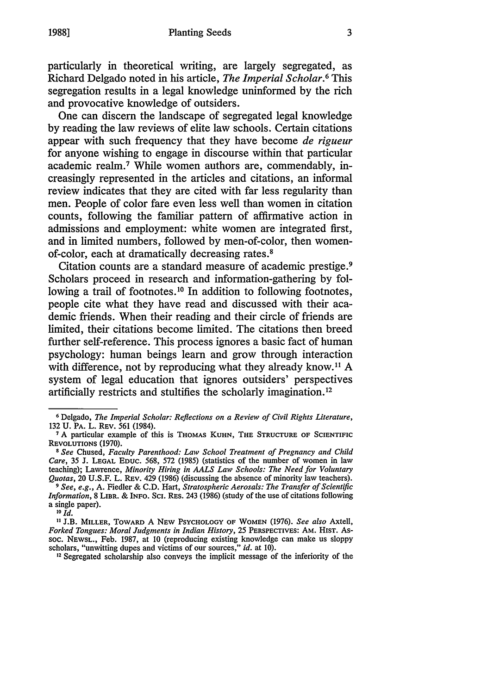particularly in theoretical writing, are largely segregated, as Richard Delgado noted in his article, *The Imperial Scholar.6* This segregation results in a legal knowledge uninformed by the rich and provocative knowledge of outsiders.

One can discern the landscape of segregated legal knowledge by reading the law reviews of elite law schools. Certain citations appear with such frequency that they have become *de rigueur*  for anyone wishing to engage in discourse within that particular academic realm.7 While women authors are, commendably, increasingly represented in the articles and citations, an informal review indicates that they are cited with far less regularity than men. People of color fare even less well than women in citation counts, following the familiar pattern of affirmative action in admissions and employment: white women are integrated first, and in limited numbers, followed by men-of-color, then womenof-color, each at dramatically decreasing rates.8

Citation counts are a standard measure of academic prestige.<sup>9</sup> Scholars proceed in research and information-gathering by following a trail of footnotes.<sup>10</sup> In addition to following footnotes, people cite what they have read and discussed with their academic friends. When their reading and their circle of friends are limited, their citations become limited. The citations then breed further self-reference. This process ignores a basic fact of human psychology: human beings learn and grow through interaction with difference, not by reproducing what they already know.<sup>11</sup> A system of legal education that ignores outsiders' perspectives artificially restricts and stultifies the scholarly imagination. 12

12 Segregated scholarship also conveys the implicit message of the inferiority of the

<sup>6</sup> Delgado, *The Imperial Scholar: Reflections on a Review of Civil Rights Literature,*  132 U. PA. L. REV. 561 (1984).

<sup>&</sup>lt;sup>7</sup> A particular example of this is THOMAS KUHN, THE STRUCTURE OF SCIENTIFIC REVOLUTIONS (1970).

*<sup>8</sup> See* Chused, *Faculty Parenthood: Law School Treatment of Pregnancy and Child Care,* 35 J. LEGAL Eouc. 568, 572 (1985) (statistics of the number of women in law teaching); Lawrence, *Minority Hiring in AALS Law Schools: The Need for Voluntary Quotas,* 20 U.S.F. L. REv. 429 (1986) (discussing the absence of minority law teachers).

*<sup>9</sup> See, e.g.,* A. Fiedler & C.D. Hart, *Stratospheric Aerosals: The Transfer of Scientific Information,* 8 LIBR. & INFO. SCI. REs. 243 (1986) (study of the use of citations following a single paper).

*<sup>10</sup>Id.* 

<sup>11</sup> J.B. MILLER, TOWARD A NEW PSYCHOLOGY OF WOMEN (1976). *See also* Axtell, *Forked Tongues: Moral Judgments in Indian History,* 25 PERSPECTIVES: AM. HIST. Assoc. NEWSL., Feb. 1987, at 10 (reproducing existing knowledge can make us sloppy scholars, "unwitting dupes and victims of our sources," *id.* at 10).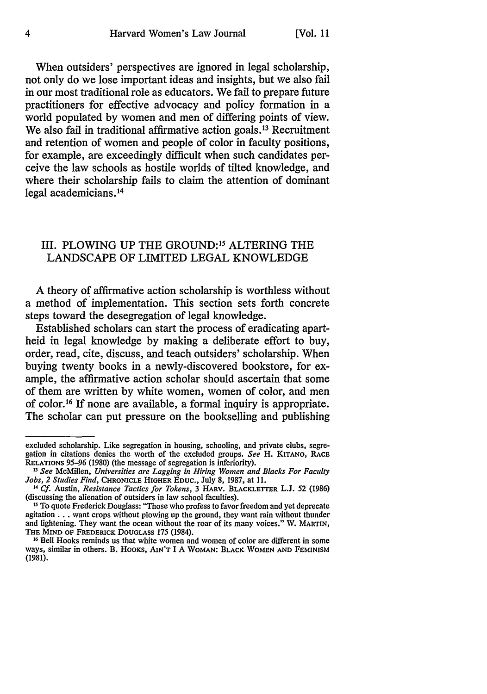When outsiders' perspectives are ignored in legal scholarship, not only do we lose important ideas and insights, but we also fail in our most traditional role as educators. We fail to prepare future practitioners for effective advocacy and policy formation in a world populated by women and men of differing points of view. We also fail in traditional affirmative action goals.<sup>13</sup> Recruitment and retention of women and people of color in faculty positions, for example, are exceedingly difficult when such candidates perceive the law schools as hostile worlds of tilted knowledge, and where their scholarship fails to claim the attention of dominant legal academicians. <sup>14</sup>

# III. PLOWING UP THE GROUND:<sup>15</sup> ALTERING THE LANDSCAPE OF LIMITED LEGAL KNOWLEDGE

A theory of affirmative action scholarship is worthless without a method of implementation. This section sets forth concrete steps toward the desegregation of legal knowledge.

Established scholars can start the process of eradicating apartheid in legal knowledge by making a deliberate effort to buy, order, read, cite, discuss, and teach outsiders' scholarship. When buying twenty books in a newly-discovered bookstore, for example, the affirmative action scholar should ascertain that some of them are written by white women, women of color, and men of color.<sup>16</sup> If none are available, a formal inquiry is appropriate. The scholar can put pressure on the bookselling and publishing

excluded scholarship. Like segregation in housing, schooling, and private clubs, segregation in citations denies the worth of the excluded groups. *See* H. KITANO, RACE RELATIONS 95-96 (1980) (the message of segregation is inferiority).

<sup>&</sup>lt;sup>13</sup> See McMillen, *Universities are Lagging in Hiring Women and Blacks For Faculty Jobs,* 2 *Studies Find,* CHRONICLE HIGHER EDUC., July 8,1987, at 11.

<sup>14</sup>*Cf.* Austin, *Resistance Tactics for Tokens,* 3 HARV. BLACKLETTER L.J. 52 (1986) (discussing the alienation of outsiders in law school faculties).

<sup>&</sup>lt;sup>15</sup> To quote Frederick Douglass: "Those who profess to favor freedom and yet deprecate agitation ... want crops without plowing up the ground, they want rain without thunder and lightening. They want the ocean without the roar of its many voices." W. MARTIN, THE MIND OF FREDERICK DOUGLASS 175 (1984).

<sup>16</sup> Bell Hooks reminds us that white women and women of color are different in some ways, similar in others. B. HOOKS, AIN'T I A WOMAN: BLACK WOMEN AND FEMINISM (1981).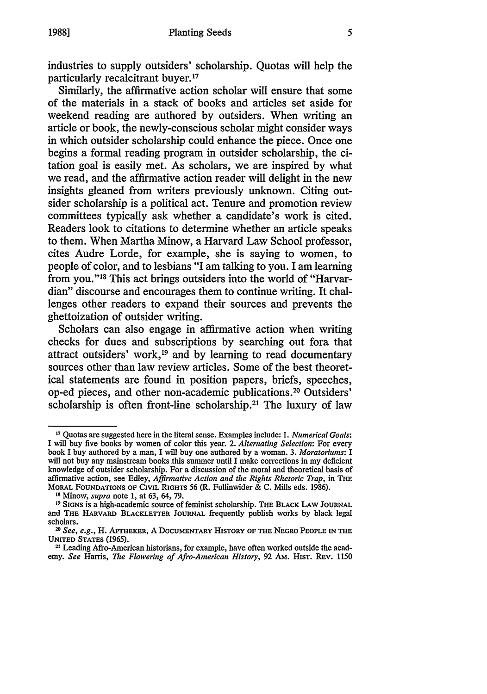industries to supply outsiders' scholarship. Quotas will help the particularly recalcitrant buyer. 17

Similarly, the affirmative action scholar will ensure that some of the materials in a stack of books and articles set aside for weekend reading are authored by outsiders. When writing an article or book, the newly-conscious scholar might consider ways in which outsider scholarship could enhance the piece. Once one begins a formal reading program in outsider scholarship, the citation goal is easily met. As scholars, we are inspired by what we read, and the affirmative action reader will delight in the new insights gleaned from writers previously unknown. Citing outsider scholarship is a political act. Tenure and promotion review committees typically ask whether a candidate's work is cited. Readers look to citations to determine whether an article speaks to them. When Martha Minow, a Harvard Law School professor, cites Audre Lorde, for example, she is saying to women, to people of color, and to lesbians "I am talking to you. I am learning from you. "18 This act brings outsiders into the world of "Harvardian" discourse and encourages them to continue writing. It challenges other readers to expand their sources and prevents the ghettoization of outsider writing.

Scholars can also engage in affirmative action when writing checks for dues and subscriptions by searching out fora that attract outsiders' work,19 and by learning to read documentary sources other than law review articles. Some of the best theoretical statements are found in position papers, briefs, speeches, op-ed pieces, and other non-academic publications.20 Outsiders' scholarship is often front-line scholarship.21 The luxury of law

<sup>17</sup> Quotas are suggested here in the literal sense. Examples include: 1. *Numerical Goals:*  I will buy five books by women of color this year. 2. *Alternating Selection:* For every book I buy authored by a man, I will buy one authored by a woman. 3. *Moratoriums:* I will not buy any mainstream books this summer until I make corrections in my deficient knowledge of outsider scholarship. For a discussion of the moral and theoretical basis of affirmative action, see Edley, *Affirmative Action and the Rights Rhetoric Trap,* in THE MORAL FOUNDATIONS OF CIVIL RIGHTS 56 (R. Fullinwider & C. Mills eds. 1986).

<sup>18</sup> Minow, *supra* note 1, at 63, 64, 79.

<sup>19</sup> SIGNS is a high-academic source of feminist scholarship. THE BLACK LAW JOURNAL and THE HARVARD BLACKLETTER JOURNAL frequently publish works by black legal scholars.

<sup>&</sup>lt;sup>20</sup> See, e.g., H. APTHEKER, A DOCUMENTARY HISTORY OF THE NEGRO PEOPLE IN THE UNITED STATES (1965).

<sup>21</sup> Leading Afro-American historians, for example, have often worked outside the academy. *See* Harris, *The Flowering of Afro-American History,* 92 AM. HIST. REv. 1150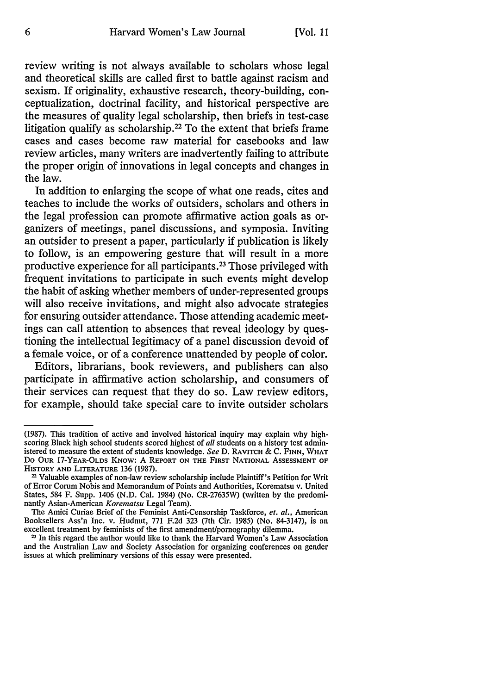review writing is not always available to scholars whose legal and theoretical skills are called first to battle against racism and sexism. If originality, exhaustive research, theory-building, conceptualization, doctrinal facility, and historical perspective are the measures of quality legal scholarship, then briefs in test-case litigation qualify as scholarship.<sup>22</sup> To the extent that briefs frame cases and cases become raw material for casebooks and law review articles, many writers are inadvertently failing to attribute the proper origin of innovations in legal concepts and changes in the law.

In addition to enlarging the scope of what one reads, cites and teaches to include the works of outsiders, scholars and others in the legal profession can promote affirmative action goals as organizers of meetings, panel discussions, and symposia. Inviting an outsider to present a paper, particularly if publication is likely to follow, is an empowering gesture that will result in a more productive experience for all participants.23 Those privileged with frequent invitations to participate in such events might develop the habit of asking whether members of under-represented groups will also receive invitations, and might also advocate strategies for ensuring outsider attendance. Those attending academic meetings can call attention to absences that reveal ideology by questioning the intellectual legitimacy of a panel discussion devoid of a female voice, or of a conference unattended by people of color.

Editors, librarians, book reviewers, and publishers can also participate in affirmative action scholarship, and consumers of their services can request that they do so. Law review editors, for example, should take special care to invite outsider scholars

<sup>(1987).</sup> This tradition of active and involved historical inquiry may explain why highscoring Black high school students scored highest of *all* students on a history test administered to measure the extent of students knowledge. *See* D. RAVITCH & C. FINN, WHAT Do OUR 17-YEAR-OLDS KNOW: A REPORT ON THE FIRST NATIONAL ASSESSMENT OF HISTORY AND LITERATURE 136 (1987).

<sup>22</sup> Valuable examples of non-law review scholarship include Plaintiff's Petition for Writ of Error Corum Nobis and Memorandum of Points and Authorities, Korematsu v. United States, 584 F. Supp. 1406 (N.D. Cal. 1984) (No. CR-27635W) (written by the predominantly Asian-American *Korematsu* Legal Team).

The Amici Curiae Brief of the Feminist Anti-Censorship Taskforce, *et. al.,* American Booksellers Ass'n Inc. v. Hudnut, 771 F.2d 323 (7th Cir. 1985) (No. 84-3147), is an excellent treatment by feminists of the first amendment/pornography dilemma.

<sup>&</sup>lt;sup>23</sup> In this regard the author would like to thank the Harvard Women's Law Association and the Australian Law and Society Association for organizing conferences on gender issues at which preliminary versions of this essay were presented.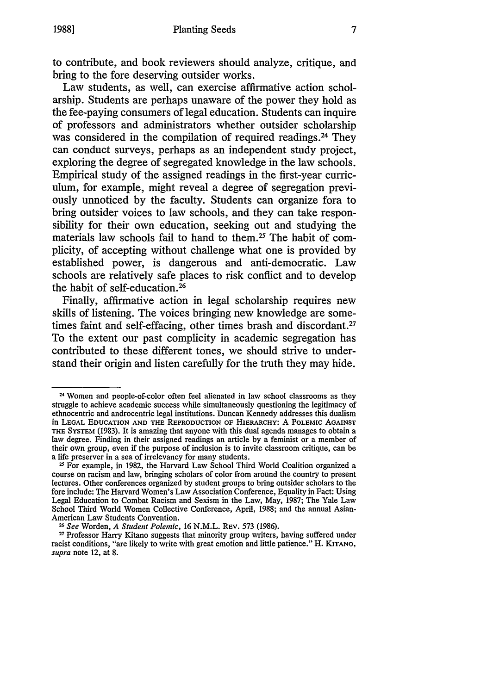to contribute, and book reviewers should analyze, critique, and bring to the fore deserving outsider works.

Law students, as well, can exercise affirmative action scholarship. Students are perhaps unaware of the power they hold as the fee-paying consumers of legal education. Students can inquire of professors and administrators whether outsider scholarship was considered in the compilation of required readings.<sup>24</sup> They can conduct surveys, perhaps as an independent study project, exploring the degree of segregated knowledge in the law schools. Empirical study of the assigned readings in the first-year curriculum, for example, might reveal a degree of segregation previously unnoticed by the faculty. Students can organize fora to bring outsider voices to law schools, and they can take responsibility for their own education, seeking out and studying the materials law schools fail to hand to them.25 The habit of complicity, of accepting without challenge what one is provided by established power, is dangerous and anti-democratic. Law schools are relatively safe places to risk conflict and to develop the habit of self-education.26

Finally, affirmative action in legal scholarship requires new skills of listening. The voices bringing new knowledge are sometimes faint and self-effacing, other times brash and discordant.<sup>27</sup> To the extent our past complicity in academic segregation has contributed to these different tones, we should strive to understand their origin and listen carefully for the truth they may hide.

<sup>24</sup> Women and people-of-color often feel alienated in law school classrooms as they struggle to achieve academic success while simultaneously questioning the legitimacy of ethnocentric and androcentric legal institutions. Duncan Kennedy addresses this dualism in LEGAL EDUCATION AND THE REPRODUCTION OF HIERARCHY: A POLEMIC AGAINST THE SYSTEM (1983). It is amazing that anyone with this dual agenda manages to obtain a law degree. Finding in their assigned readings an article by a feminist or a member of their own group, even if the purpose of inclusion is to invite classroom critique, can be a life preserver in a sea of irrelevancy for many students.

 $25$  For example, in 1982, the Harvard Law School Third World Coalition organized a course on racism and law, bringing scholars of color from around the country to present lectures. Other conferences organized by student groups to bring outsider scholars to the fore include: The Harvard Women's Law Association Conference, Equality in Fact: Using Legal Education to Combat Racism and Sexism in the Law, May, 1987; The Yale Law School Third World Women Collective Conference, April, 1988; and the annual Asian-American Law Students Convention.

*<sup>26</sup> See* Worden, *A Student Polemic,* 16 N.M.L. REV. 573 (1986).

<sup>27</sup> Professor Harry Kitano suggests that minority group writers, having suffered under racist conditions, "are likely to write with great emotion and little patience." H. KlTANO, *supra* note 12, at 8.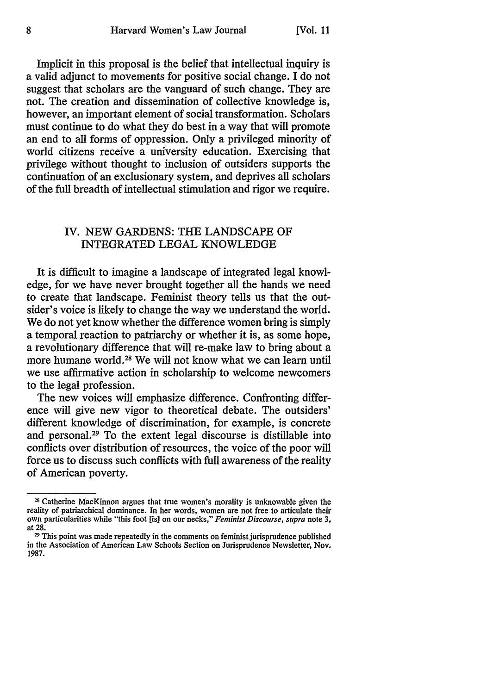Implicit in this proposal is the belief that intellectual inquiry is a valid adjunct to movements for positive social change. I do not suggest that scholars are the vanguard of such change. They are not. The creation and dissemination of collective knowledge is, however, an important element of social transformation. Scholars must continue to do what they do best in a way that will promote an end to all forms of oppression. Only a privileged minority of world citizens receive a university education. Exercising that privilege without thought to inclusion of outsiders supports the continuation of an exclusionary system, and deprives all scholars of the full breadth of intellectual stimulation and rigor we require.

# IV. NEW GARDENS: THE LANDSCAPE OF INTEGRATED LEGAL KNOWLEDGE

It is difficult to imagine a landscape of integrated legal knowledge, for we have never brought together all the hands we need to create that landscape. Feminist theory tells us that the outsider's voice is likely to change the way we understand the world. We do not yet know whether the difference women bring is simply a temporal reaction to patriarchy or whether it is, as some hope, a revolutionary difference that will re-make law to bring about a more humane world.28 We will not know what we can learn until we use affirmative action in scholarship to welcome newcomers to the legal profession.

The new voices will emphasize difference. Confronting difference will give new vigor to theoretical debate. The outsiders' different knowledge of discrimination, for example, is concrete and personal.<sup>29</sup> To the extent legal discourse is distillable into conflicts over distribution of resources, the voice of the poor will force us to discuss such conflicts with full awareness of the reality of American poverty.

<sup>28</sup> Catherine MacKinnon argues that true women's morality is unknowable given the reality of patriarchical dominance. In her words, women are not free to articulate their own particularities while "this foot [is] on our necks," *Feminist Discourse, supra* note 3, at 28.

<sup>29</sup> This point was made repeatedly in the comments on feminist jurisprudence published in the Association of American Law Schools Section on Jurisprudence Newsletter, Nov. 1987.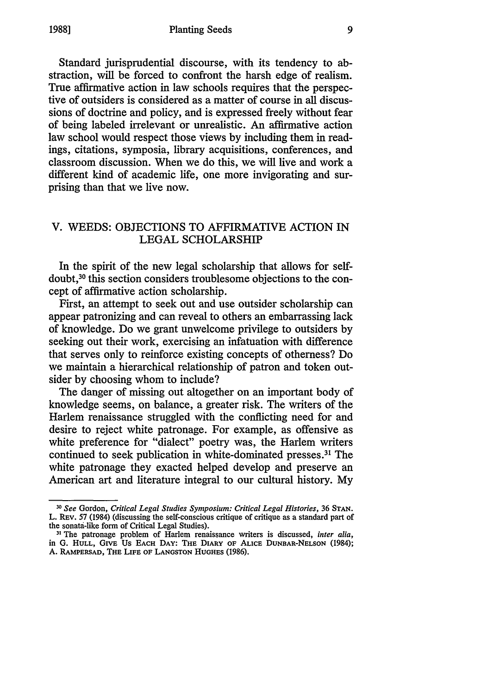Standard jurisprudential discourse, with its tendency to abstraction, will be forced to confront the harsh edge of realism. True affirmative action in law schools requires that the perspective of outsiders is considered as a matter of course in all discussions of doctrine and policy, and is expressed freely without fear of being labeled irrelevant or unrealistic. An affirmative action law school would respect those views by including them in readings, citations, symposia, library acquisitions, conferences, and classroom discussion. When we do this, we will live and work a different kind of academic life, one more invigorating and surprising than that we live now.

# V. WEEDS: OBJECTIONS TO AFFIRMATIVE ACTION IN LEGAL SCHOLARSHIP

In the spirit of the new legal scholarship that allows for selfdoubt,<sup>30</sup> this section considers troublesome objections to the concept of affirmative action scholarship.

First, an attempt to seek out and use outsider scholarship can appear patronizing and can reveal to others an embarrassing lack of knowledge. Do we grant unwelcome privilege to outsiders by seeking out their work, exercising an infatuation with difference that serves only to reinforce existing concepts of otherness? Do we maintain a hierarchical relationship of patron and token outsider by choosing whom to include?

The danger of missing out altogether on an important body of knowledge seems, on balance, a greater risk. The writers of the Harlem renaissance struggled with the conflicting need for and desire to reject white patronage. For example, as offensive as white preference for "dialect" poetry was, the Harlem writers continued to seek publication in white-dominated presses.<sup>31</sup> The white patronage they exacted helped develop and preserve an American art and literature integral to our cultural history. My

<sup>30</sup>*See* Gordon, *Critical Legal Studies Symposium: Critical Legal Histories,* 36 STAN. L. REv. 57 (1984) (discussing the self-conscious critique of critique as a standard part of the sonata-like form of Critical Legal Studies).

<sup>31</sup> The patronage problem of Harlem renaissance writers is discussed, *inter alia,*  in G. HULL, GIVE Us EACH DAY: THE DIARY OF ALICE DUNBAR-NELSON (1984); A. RAMPERSAD, THE LIFE OF LANGSTON HUGHES (1986).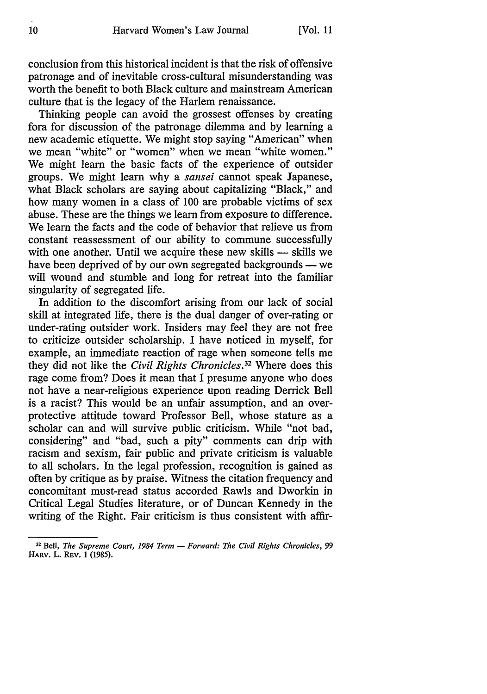conclusion from this historical incident is that the risk of offensive patronage and of inevitable cross-cultural misunderstanding was worth the benefit to both Black culture and mainstream American culture that is the legacy of the Harlem renaissance.

Thinking people can avoid the grossest offenses by creating fora for discussion of the patronage dilemma and by learning a new academic etiquette. We might stop saying "American" when we mean "white" or "women" when we mean "white women." We might learn the basic facts of the experience of outsider groups. We might learn why a *sansei* cannot speak Japanese, what Black scholars are saying about capitalizing "Black," and how many women in a class of 100 are probable victims of sex abuse. These are the things we learn from exposure to difference. We learn the facts and the code of behavior that relieve us from constant reassessment of our ability to commune successfully with one another. Until we acquire these new skills  $-$  skills we have been deprived of by our own segregated backgrounds — we will wound and stumble and long for retreat into the familiar singularity of segregated life.

In addition to the discomfort arising from our lack of social skill at integrated life, there is the dual danger of over-rating or under-rating outsider work. Insiders may feel they are not free to criticize outsider scholarship. I have noticed in myself, for example, an immediate reaction of rage when someone tells me they did not like the *Civil Rights Chronicles.* 32 Where does this rage come from? Does it mean that I presume anyone who does not have a near-religious experience upon reading Derrick Bell is a racist? This would be an unfair assumption, and an overprotective attitude toward Professor Bell, whose stature as a scholar can and will survive public criticism. While "not bad, considering" and "bad, such a pity" comments can drip with racism and sexism, fair public and private criticism is valuable to all scholars. In the legal profession, recognition is gained as often by critique as by praise. Witness the citation frequency and concomitant must-read status accorded Rawls and Dworkin in Critical Legal Studies literature, or of Duncan Kennedy in the writing of the Right. Fair criticism is thus consistent with affir-

<sup>&</sup>lt;sup>32</sup> Bell, *The Supreme Court, 1984 Term - Forward: The Civil Rights Chronicles, 99* HARV. L. REV. 1 (1985),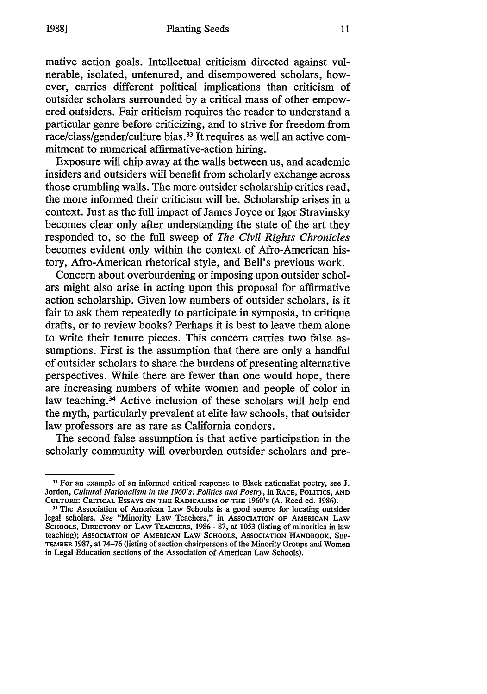#### 1988] Planting Seeds 11

mative action goals. Intellectual criticism directed against vulnerable, isolated, untenured, and disempowered scholars, however, carries different political implications than criticism of outsider scholars surrounded by a critical mass of other empowered outsiders. Fair criticism requires the reader to understand a particular genre before criticizing, and to strive for freedom from race/class/gender/culture bias.<sup>33</sup> It requires as well an active commitment to numerical affirmative-action hiring.

Exposure will chip away at the walls between us, and academic insiders and outsiders will benefit from scholarly exchange across those crumbling walls. The more outsider scholarship critics read, the more informed their criticism will be. Scholarship arises in a context. Just as the full impact of James Joyce or Igor Stravinsky becomes clear only after understanding the state of the art they responded to, so the full sweep of *The Civil Rights Chronicles*  becomes evident only within the context of Afro-American history, Afro-American rhetorical style, and Bell's previous work.

Concern about overburdening or imposing upon outsider scholars might also arise in acting upon this proposal for affirmative action scholarship. Given low numbers of outsider scholars, is it fair to ask them repeatedly to participate in symposia, to critique drafts, or to review books? Perhaps it is best to leave them alone to write their tenure pieces. This concem carries two false assumptions. First is the assumption that there are only a handful of outsider scholars to share the burdens of presenting alternative perspectives. While there are fewer than one would hope, there are increasing numbers of white women and people of color in law teaching.<sup>34</sup> Active inclusion of these scholars will help end the myth, particularly prevalent at elite law schools, that outsider law professors are as rare as California condors.

The second false assumption is that active participation in the scholarly community will overburden outsider scholars and pre-

<sup>33</sup> For an example of an informed critical response to Black nationalist poetry, see J. Jordon, *Cultural Nationalism in the 1960's: Politics and Poetry,* in RACE, POLITICS, AND CULTURE: CRITICAL ESSAYS ON THE RADICALISM OF THE 1960's (A. Reed ed. 1986).

<sup>34</sup> The Association of American Law Schools is a good source for locating outsider legal scholars. *See* "Minority Law Teachers," in ASSOCIATION OF AMERICAN LAW SCHOOLS, DIRECTORY OF LAW TEACHERS, 1986 - 87, at 1053 (listing of minorities in law teaching); ASSOCIATION OF AMERICAN LAW SCHOOLS, ASSOCIATION HANDBOOK, SEP-TEMBER 1987, at 74-76 (listing of section chairpersons of the Minority Groups and Women in Legal Education sections of the Association of American Law Schools).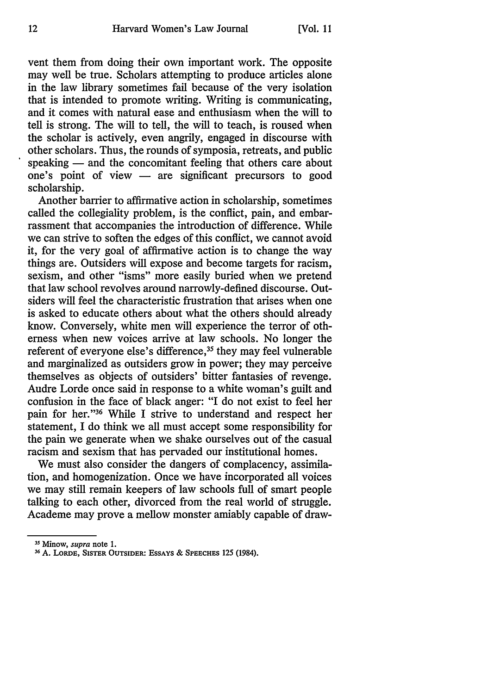vent them from doing their own important work. The opposite may well be true. Scholars attempting to produce articles alone in the law library sometimes fail because of the very isolation that is intended to promote writing. Writing is communicating, and it comes with natural ease and enthusiasm when the will to tell is strong. The will to tell, the will to teach, is roused when the scholar is actively, even angrily, engaged in discourse with other scholars. Thus, the rounds of symposia, retreats, and public speaking — and the concomitant feeling that others care about one's point of view  $-$  are significant precursors to good scholarship.

Another barrier to affirmative action in scholarship, sometimes called the collegiality problem, is the conflict, pain, and embarrassment that accompanies the introduction of difference. While we can strive to soften the edges of this conflict, we cannot avoid it, for the very goal of affirmative action is to change the way things are. Outsiders will expose and become targets for racism, sexism, and other "isms" more easily buried when we pretend that law school revolves around narrowly-defined discourse. Outsiders will feel the characteristic frustration that arises when one is asked to educate others about what the others should already know. Conversely, white men will experience the terror of otherness when new voices arrive at law schools. No longer the referent of everyone else's difference,<sup>35</sup> they may feel vulnerable and marginalized as outsiders grow in power; they may perceive themselves as objects of outsiders' bitter fantasies of revenge. Audre Lorde once said in response to a white woman's guilt and confusion in the face of black anger: "I do not exist to feel her pain for her. "36 While I strive to understand and respect her statement, I do think we all must accept some responsibility for the pain we generate when we shake ourselves out of the casual racism and sexism that has pervaded our institutional homes.

We must also consider the dangers of complacency, assimilation, and homogenization. Once we have incorporated all voices we may still remain keepers of law schools full of smart people talking to each other, divorced from the real world of struggle. Academe may prove a mellow monster amiably capable of draw-

<sup>&</sup>lt;sup>35</sup> Minow, *supra* note 1.

<sup>36</sup> A. LORDE, SISTER OUTSIDER: ESSAYS & SPEECHES 125 (1984).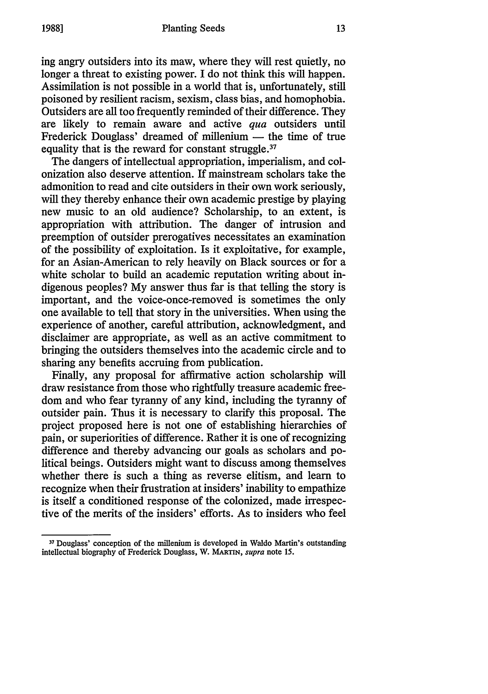ing angry outsiders into its maw, where they will rest quietly, no longer a threat to existing power. I do not think this will happen. Assimilation is not possible in a world that is, unfortunately, still poisoned by resilient racism, sexism, class bias, and homophobia. Outsiders are all too frequently reminded of their difference. They are likely to remain aware and active *qua* outsiders until Frederick Douglass' dreamed of millenium  $-$  the time of true equality that is the reward for constant struggle.<sup>37</sup>

The dangers of intellectual appropriation, imperialism, and colonization also deserve attention. If mainstream scholars take the admonition to read and cite outsiders in their own work seriously, will they thereby enhance their own academic prestige by playing new music to an old audience? Scholarship, to an extent, is appropriation with attribution. The danger of intrusion and preemption of outsider prerogatives necessitates an examination of the possibility of exploitation. Is it exploitative, for example, for an Asian-American to rely heavily on Black sources or for a white scholar to build an academic reputation writing about indigenous peoples? My answer thus far is that telling the story is important, and the voice-once-removed is sometimes the only one available to tell that story in the universities. When using the experience of another, careful attribution, acknowledgment, and disclaimer are appropriate, as well as an active commitment to bringing the outsiders themselves into the academic circle and to sharing any benefits accruing from publication.

Finally, any proposal for affirmative action scholarship will draw resistance from those who rightfully treasure academic freedom and who fear tyranny of any kind, including the tyranny of outsider pain. Thus it is necessary to clarify this proposal. The project proposed here is not one of establishing hierarchies of pain, or superiorities of difference. Rather it is one of recognizing difference and thereby advancing our goals as scholars and political beings. Outsiders might want to discuss among themselves whether there is such a thing as reverse elitism, and learn to recognize when their frustration at insiders' inability to empathize is itself a conditioned response of the colonized, made irrespective of the merits of the insiders' efforts. As to insiders who feel

<sup>37</sup> Douglass' conception of the millenium is developed in Waldo Martin's outstanding intellectual biography of Frederick Douglass, W. MARTIN, supra note 15.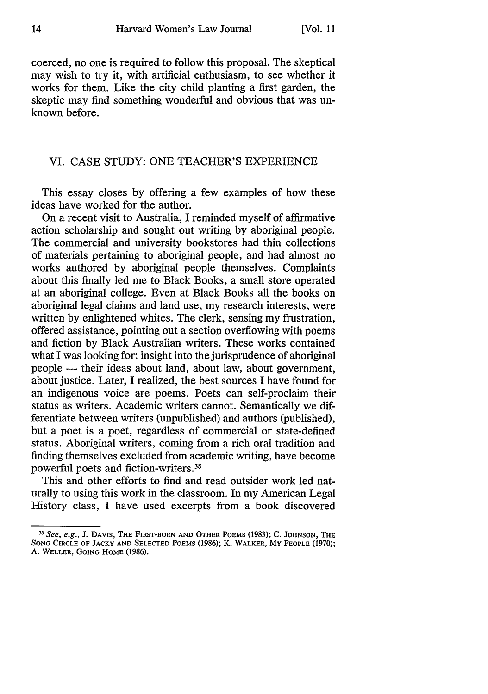coerced, no one is required to follow this proposal. The skeptical may wish to try it, with artificial enthusiasm, to see whether it works for them. Like the city child planting a first garden, the skeptic may find something wonderful and obvious that was unknown before.

### VI. CASE STUDY: ONE TEACHER'S EXPERIENCE

This essay closes by offering a few examples of how these ideas have worked for the author.

On a recent visit to Australia, I reminded myself of affirmative action scholarship and sought out writing by aboriginal people. The commercial and university bookstores had thin collections of materials pertaining to aboriginal people, and had almost no works authored by aboriginal people themselves. Complaints about this finally led me to Black Books, a small store operated at an aboriginal college. Even at Black Books all the books on aboriginal legal claims and land use, my research interests, were written by enlightened whites. The clerk, sensing my frustration, offered assistance, pointing out a section overflowing with poems and fiction by Black Austraiian writers. These works contained what I was looking for: insight into the jurisprudence of aboriginal people - their ideas about land, about law, about government, about justice. Later, I realized, the best sources I have found for an indigenous voice are poems. Poets can self-proclaim their status as writers. Academic writers cannot. Semantically we differentiate between writers (unpublished) and authors (published), but a poet is a poet, regardless of commercial or state-defined status. Aboriginal writers, coming from a rich oral tradition and finding themselves excluded from academic writing, have become powerful poets and fiction-writers. <sup>38</sup>

This and other efforts to find and read outsider work led naturally to using this work in the classroom. In my American Legal History class, I have used excerpts from a book discovered

*<sup>38</sup> See, e.g.,* J. DAVIS, THE FIRST-BORN AND OTHER POEMS (1983); C. JOHNSON, THE SONG CIRCLE OF JACKY AND SELECTED POEMS (1986); K. WALKER, My PEOPLE (1970); A. WELLER, GOING HOME (1986).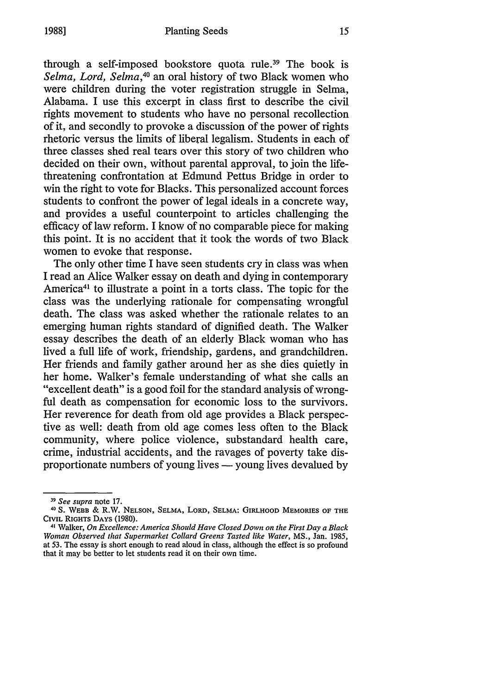#### 1988] Planting Seeds 15

through a self-imposed bookstore quota rule.<sup>39</sup> The book is *Selma, Lord, Selma,40* an oral history of two Black women who were children during the voter registration struggle in Selma, Alabama. I use this excerpt in class first to describe the civil rights movement to students who have no personal recollection of it, and secondly to provoke a discussion of the power of rights rhetoric versus the limits of liberal legalism. Students in each of three classes shed real tears over this story of two children who decided on their own, without parental approval, to join the lifethreatening confrontation at Edmund Pettus Bridge in order to win the right to vote for Blacks. This personalized account forces students to confront the power of legal ideals in a concrete way, and provides a useful counterpoint to articles challenging the efficacy of law reform. I know of no comparable piece for making this point. It is no accident that it took the words of two Black women to evoke that response.

The only other time I have seen students cry in class was when I read an Alice Walker essay on death and dying in contemporary America41 to illustrate a point in a torts class. The topic for the class was the underlying rationale for compensating wrongful death. The class was asked whether the rationale relates to an emerging human rights standard of dignified death. The Walker essay describes the death of an elderly Black woman who has lived a full life of work, friendship, gardens, and grandchildren. Her friends and family gather around her as she dies quietly in her home. Walker's female understanding of what she calls an "excellent death" is a good foil for the standard analysis of wrongful death as compensation for economic loss to the survivors. Her reverence for death from old age provides a Black perspective as well: death from old age comes less often to the Black community, where police violence, substandard health care, crime, industrial accidents, and the ravages of poverty take disproportionate numbers of young lives - young lives devalued by

*<sup>39</sup> See supra* note 17.

<sup>4{)</sup> S. WEBB & R.W. NELSON, SELMA, LORD, SELMA: GIRLHOOD MEMORIES OF THE CIVIL RIGHTS DAYS (1980).

<sup>&</sup>lt;sup>41</sup> Walker, *On Excellence: America Should Have Closed Down on the First Day a Black Woman Observed that Supermarket Collard Greens Tasted like Water,* MS., Jan. 1985, at 53. The essay is short enough to read aloud in class, although the effect is so profound that it may be better to let students read it on their own time.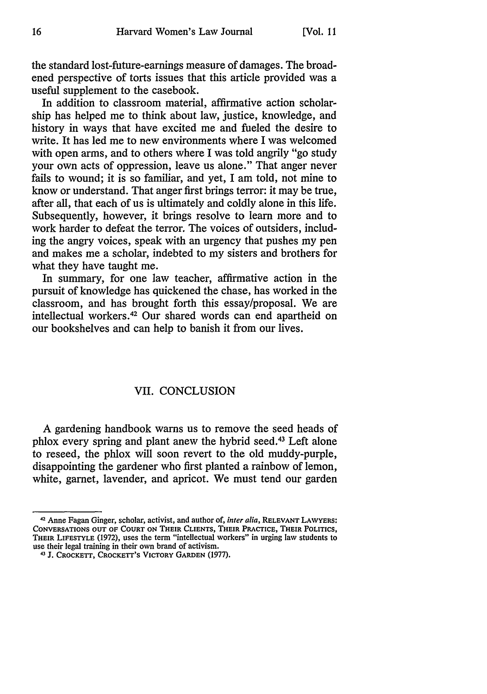the standard lost-future-earnings measure of damages. The broadened perspective of torts issues that this article provided was a useful supplement to the casebook.

In addition to classroom material, affirmative action scholarship has helped me to think about law, justice, knowledge, and history in ways that have excited me and fueled the desire to write. It has led me to new environments where I was welcomed with open arms, and to others where I was told angrily "go study" your own acts of oppression, leave us alone." That anger never fails to wound; it is so familiar, and yet, I am told, not mine to know or understand. That anger first brings terror: it may be true, after all, that each of us is ultimately and coldly alone in this life. Subsequently, however, it brings resolve to learn more and to work harder to defeat the terror. The voices of outsiders, including the angry voices, speak with an urgency that pushes my pen and makes me a scholar, indebted to my sisters and brothers for what they have taught me.

In summary, for one law teacher, affirmative action in the pursuit of knowledge has quickened the chase, has worked in the classroom, and has brought forth this essay/proposal. We are intellectual workers.42 Our shared words can end apartheid on our bookshelves and can help to banish it from our lives.

### VII. CONCLUSION

A gardening handbook warns us to remove the seed heads of phlox every spring and plant anew the hybrid seed.43 Left alone to reseed, the phlox will soon revert to the old muddy-purple, disappointing the gardener who first planted a rainbow of lemon, white, garnet, lavender, and apricot. We must tend our garden

<sup>42</sup> Anne Fagan Ginger, scholar, activist, and author of, *inter alia,* RELEVANT LAWYERS: CONVERSATIONS OUT OF COURT ON THEIR CLIENTS, THEIR PRACTICE, THEIR POLITICS, THEIR LIFESTYLE (1972), uses the term "intellectual workers" in urging law students to use their legal training in their own brand of activism.

<sup>43</sup> J. CROCKETT, CROCKETT'S VICTORY GARDEN (1977).